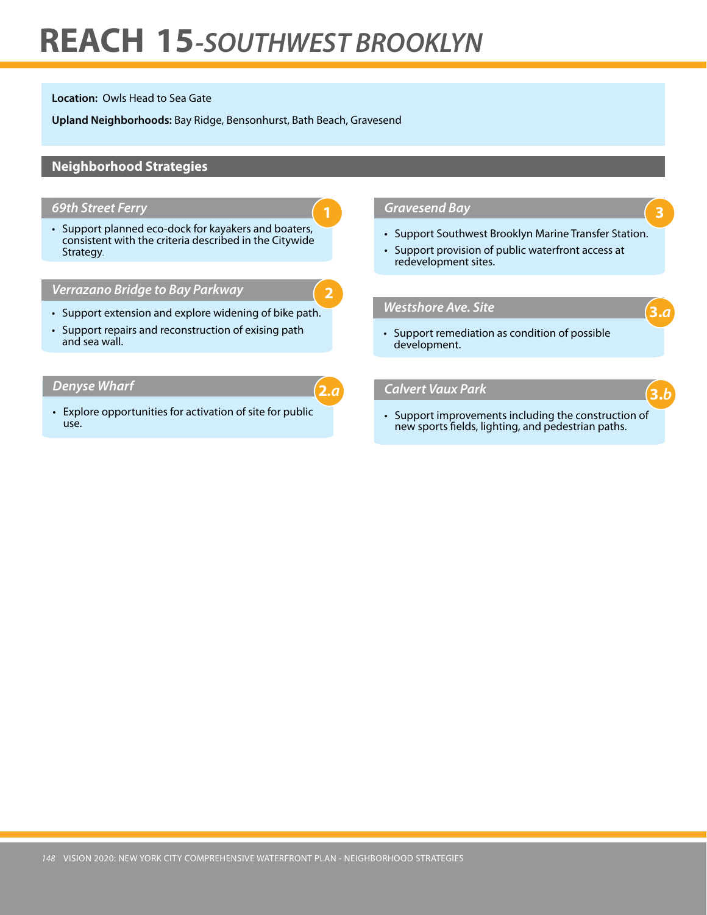## **REACH 15***-SOUTHWEST BROOKLYN*

**Location:** Owls Head to Sea Gate

**Upland Neighborhoods:** Bay Ridge, Bensonhurst, Bath Beach, Gravesend

## **Neighborhood Strategies**